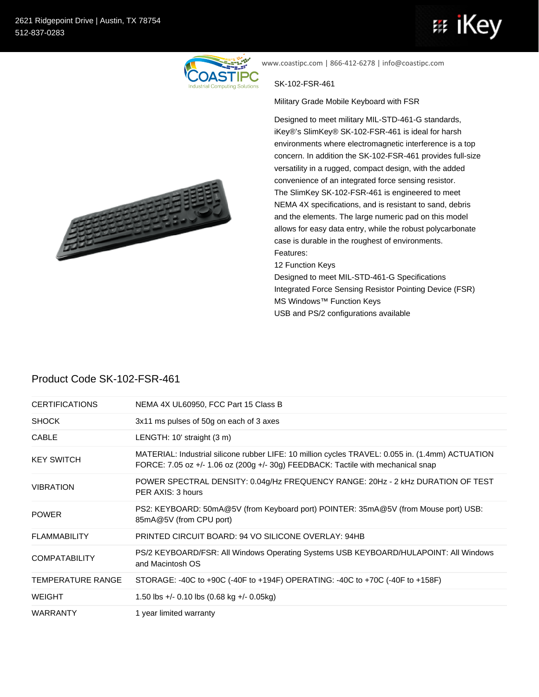

www.coastipc.com | 866-412-6278 | info@coastipc.com

## SK-102-FSR-461

Military Grade Mobile Keyboard with FSR

Designed to meet military MIL-STD-461-G standards, iKey®'s SlimKey® SK-102-FSR-461 is ideal for harsh environments where electromagnetic interference is a top concern. In addition the SK-102-FSR-461 provides full-size versatility in a rugged, compact design, with the added convenience of an integrated force sensing resistor. The SlimKey SK-102-FSR-461 is engineered to meet NEMA 4X specifications, and is resistant to sand, debris and the elements. The large numeric pad on this model allows for easy data entry, while the robust polycarbonate case is durable in the roughest of environments. Features:

12 Function Keys

Designed to meet MIL-STD-461-G Specifications Integrated Force Sensing Resistor Pointing Device (FSR) MS Windows™ Function Keys USB and PS/2 configurations available



## Product Code SK-102-FSR-461

| <b>CERTIFICATIONS</b>    | NEMA 4X UL60950, FCC Part 15 Class B                                                                                                                                                 |
|--------------------------|--------------------------------------------------------------------------------------------------------------------------------------------------------------------------------------|
| <b>SHOCK</b>             | 3x11 ms pulses of 50g on each of 3 axes                                                                                                                                              |
| <b>CABLE</b>             | LENGTH: 10' straight (3 m)                                                                                                                                                           |
| <b>KEY SWITCH</b>        | MATERIAL: Industrial silicone rubber LIFE: 10 million cycles TRAVEL: 0.055 in. (1.4mm) ACTUATION<br>FORCE: 7.05 oz +/- 1.06 oz (200g +/- 30g) FEEDBACK: Tactile with mechanical snap |
| <b>VIBRATION</b>         | POWER SPECTRAL DENSITY: 0.04g/Hz FREQUENCY RANGE: 20Hz - 2 kHz DURATION OF TEST<br>PER AXIS: 3 hours                                                                                 |
| <b>POWER</b>             | PS2: KEYBOARD: 50mA@5V (from Keyboard port) POINTER: 35mA@5V (from Mouse port) USB:<br>85mA@5V (from CPU port)                                                                       |
| <b>FLAMMABILITY</b>      | PRINTED CIRCUIT BOARD: 94 VO SILICONE OVERLAY: 94HB                                                                                                                                  |
| <b>COMPATABILITY</b>     | PS/2 KEYBOARD/FSR: All Windows Operating Systems USB KEYBOARD/HULAPOINT: All Windows<br>and Macintosh OS                                                                             |
| <b>TEMPERATURE RANGE</b> | STORAGE: -40C to +90C (-40F to +194F) OPERATING: -40C to +70C (-40F to +158F)                                                                                                        |
| <b>WEIGHT</b>            | 1.50 lbs +/- 0.10 lbs $(0.68 \text{ kg} + / -0.05 \text{ kg})$                                                                                                                       |
| <b>WARRANTY</b>          | 1 year limited warranty                                                                                                                                                              |